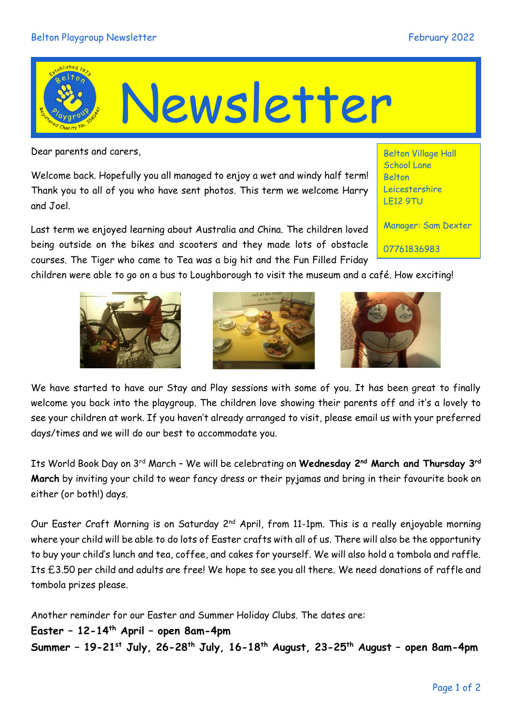## Belton Playgroup Newsletter February 2022



Dear parents and carers,

Welcome back. Hopefully you all managed to enjoy a wet and windy half term! Thank you to all of you who have sent photos. This term we welcome Harry and Joel.

Last term we enjoyed learning about Australia and China. The children loved being outside on the bikes and scooters and they made lots of obstacle courses. The Tiger who came to Tea was a big hit and the Fun Filled Friday

Belton Village Hall School Lane Belton Leicestershire LE12 9TU

Manager: Sam Dexter

07761836983

children were able to go on a bus to Loughborough to visit the museum and a café. How exciting!







We have started to have our Stay and Play sessions with some of you. It has been great to finally welcome you back into the playgroup. The children love showing their parents off and it's a lovely to see your children at work. If you haven't already arranged to visit, please email us with your preferred days/times and we will do our best to accommodate you.

Its World Book Day on 3rd March – We will be celebrating on **Wednesday 2nd March and Thursday 3rd March** by inviting your child to wear fancy dress or their pyjamas and bring in their favourite book on either (or both!) days.

Our Easter Craft Morning is on Saturday 2<sup>nd</sup> April, from 11-1pm. This is a really enjoyable morning where your child will be able to do lots of Easter crafts with all of us. There will also be the opportunity to buy your child's lunch and tea, coffee, and cakes for yourself. We will also hold a tombola and raffle. Its £3.50 per child and adults are free! We hope to see you all there. We need donations of raffle and tombola prizes please.

Another reminder for our Easter and Summer Holiday Clubs. The dates are:

**Easter – 12-14th April – open 8am-4pm Summer – 19-21st July, 26-28th July, 16-18th August, 23-25th August – open 8am-4pm**